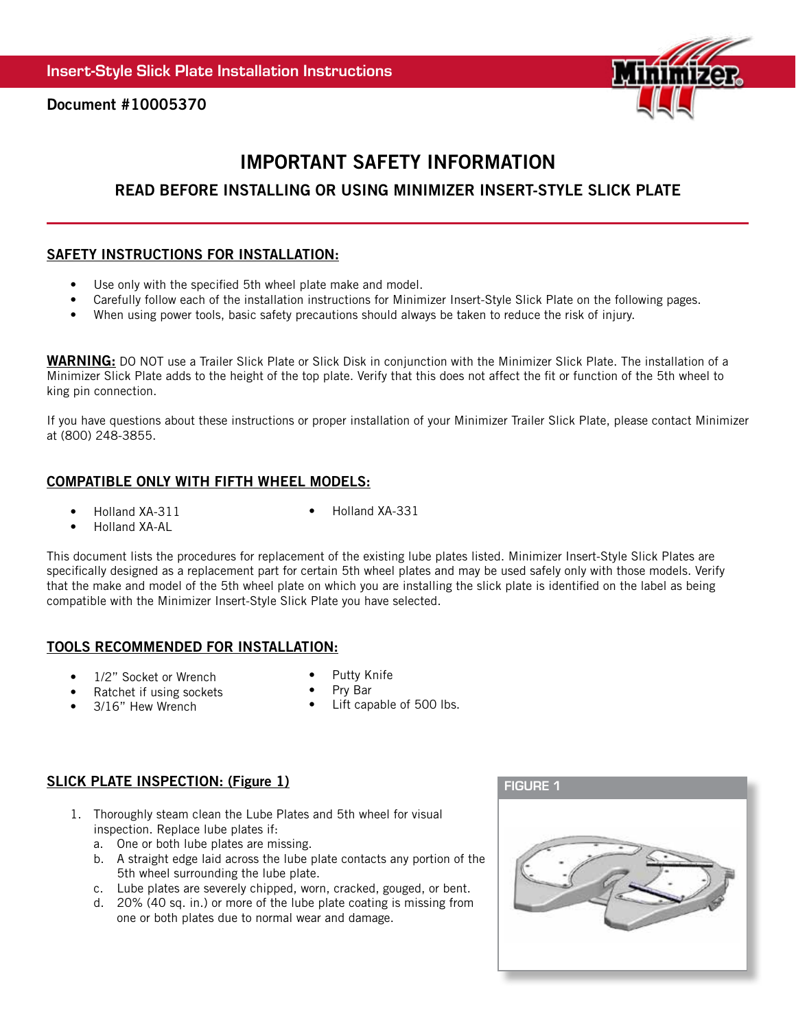

Document #10005370

# IMPORTANT SAFETY INFORMATION

# READ BEFORE INSTALLING OR USING MINIMIZER INSERT-STYLE SLICK PLATE

## SAFETY INSTRUCTIONS FOR INSTALLATION:

- Use only with the specified 5th wheel plate make and model.
- Carefully follow each of the installation instructions for Minimizer Insert-Style Slick Plate on the following pages.
- When using power tools, basic safety precautions should always be taken to reduce the risk of injury.

WARNING: DO NOT use a Trailer Slick Plate or Slick Disk in conjunction with the Minimizer Slick Plate. The installation of a Minimizer Slick Plate adds to the height of the top plate. Verify that this does not affect the fit or function of the 5th wheel to king pin connection.

If you have questions about these instructions or proper installation of your Minimizer Trailer Slick Plate, please contact Minimizer at (800) 248-3855.

#### COMPATIBLE ONLY WITH FIFTH WHEEL MODELS:

• Holland XA-311

• Holland XA-331

• Holland XA-AL

This document lists the procedures for replacement of the existing lube plates listed. Minimizer Insert-Style Slick Plates are specifically designed as a replacement part for certain 5th wheel plates and may be used safely only with those models. Verify that the make and model of the 5th wheel plate on which you are installing the slick plate is identified on the label as being compatible with the Minimizer Insert-Style Slick Plate you have selected.

#### TOOLS RECOMMENDED FOR INSTALLATION:

- 1/2" Socket or Wrench
- Putty Knife
- Ratchet if using sockets
- Pry Bar
- 3/16" Hew Wrench
- Lift capable of 500 lbs.

# SLICK PLATE INSPECTION: (Figure 1) SLICK PLATE INSPECTION: (Figure 1)

- 1. Thoroughly steam clean the Lube Plates and 5th wheel for visual inspection. Replace lube plates if:
	- a. One or both lube plates are missing.
	- b. A straight edge laid across the lube plate contacts any portion of the 5th wheel surrounding the lube plate.
	- c. Lube plates are severely chipped, worn, cracked, gouged, or bent.
	- d. 20% (40 sq. in.) or more of the lube plate coating is missing from one or both plates due to normal wear and damage.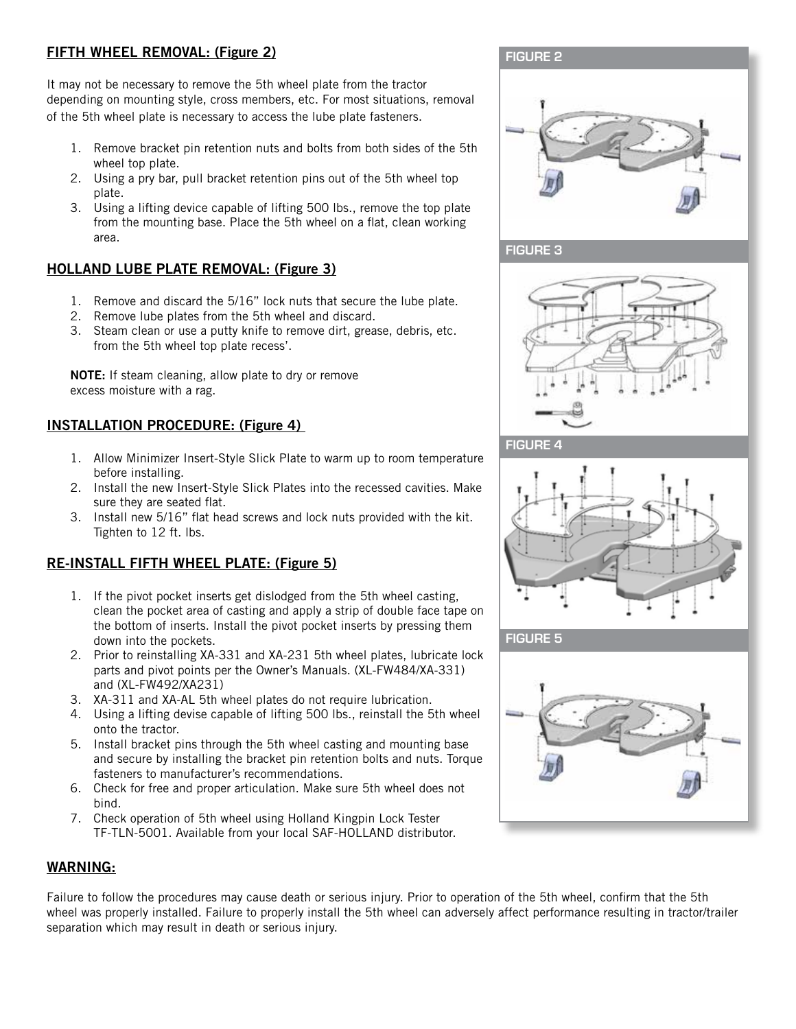# FIFTH WHEEL REMOVAL: (Figure 2)

It may not be necessary to remove the 5th wheel plate from the tractor depending on mounting style, cross members, etc. For most situations, removal of the 5th wheel plate is necessary to access the lube plate fasteners.

- 1. Remove bracket pin retention nuts and bolts from both sides of the 5th wheel top plate.
- 2. Using a pry bar, pull bracket retention pins out of the 5th wheel top plate.
- 3. Using a lifting device capable of lifting 500 lbs., remove the top plate from the mounting base. Place the 5th wheel on a flat, clean working area.

# HOLLAND LUBE PLATE REMOVAL: (Figure 3)

- 1. Remove and discard the 5/16" lock nuts that secure the lube plate.
- 2. Remove lube plates from the 5th wheel and discard.
- 3. Steam clean or use a putty knife to remove dirt, grease, debris, etc. from the 5th wheel top plate recess'.

NOTE: If steam cleaning, allow plate to dry or remove excess moisture with a rag.

# INSTALLATION PROCEDURE: (Figure 4)

- 1. Allow Minimizer Insert-Style Slick Plate to warm up to room temperature before installing.
- 2. Install the new Insert-Style Slick Plates into the recessed cavities. Make sure they are seated flat.
- 3. Install new 5/16" flat head screws and lock nuts provided with the kit. Tighten to 12 ft. lbs.

# RE-INSTALL FIFTH WHEEL PLATE: (Figure 5)

- 1. If the pivot pocket inserts get dislodged from the 5th wheel casting, clean the pocket area of casting and apply a strip of double face tape on the bottom of inserts. Install the pivot pocket inserts by pressing them down into the pockets.
- 2. Prior to reinstalling XA-331 and XA-231 5th wheel plates, lubricate lock parts and pivot points per the Owner's Manuals. (XL-FW484/XA-331) and (XL-FW492/XA231)
- 3. XA-311 and XA-AL 5th wheel plates do not require lubrication.
- 4. Using a lifting devise capable of lifting 500 lbs., reinstall the 5th wheel onto the tractor.
- 5. Install bracket pins through the 5th wheel casting and mounting base and secure by installing the bracket pin retention bolts and nuts. Torque fasteners to manufacturer's recommendations.
- 6. Check for free and proper articulation. Make sure 5th wheel does not bind.
- 7. Check operation of 5th wheel using Holland Kingpin Lock Tester TF-TLN-5001. Available from your local SAF-HOLLAND distributor.

## WARNING:

Failure to follow the procedures may cause death or serious injury. Prior to operation of the 5th wheel, confirm that the 5th wheel was properly installed. Failure to properly install the 5th wheel can adversely affect performance resulting in tractor/trailer separation which may result in death or serious injury.